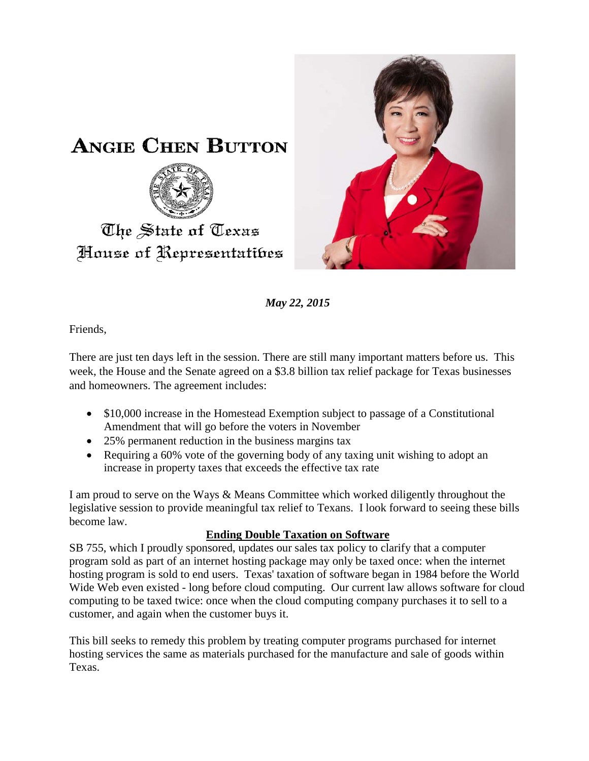



*May 22, 2015*

Friends,

There are just ten days left in the session. There are still many important matters before us. This week, the House and the Senate agreed on a \$3.8 billion tax relief package for Texas businesses and homeowners. The agreement includes:

- \$10,000 increase in the Homestead Exemption subject to passage of a Constitutional Amendment that will go before the voters in November
- 25% permanent reduction in the business margins tax
- Requiring a 60% vote of the governing body of any taxing unit wishing to adopt an increase in property taxes that exceeds the effective tax rate

I am proud to serve on the Ways & Means Committee which worked diligently throughout the legislative session to provide meaningful tax relief to Texans. I look forward to seeing these bills become law.

## **Ending Double Taxation on Software**

SB 755, which I proudly sponsored, updates our sales tax policy to clarify that a computer program sold as part of an internet hosting package may only be taxed once: when the internet hosting program is sold to end users. Texas' taxation of software began in 1984 before the World Wide Web even existed - long before cloud computing. Our current law allows software for cloud computing to be taxed twice: once when the cloud computing company purchases it to sell to a customer, and again when the customer buys it.

This bill seeks to remedy this problem by treating computer programs purchased for internet hosting services the same as materials purchased for the manufacture and sale of goods within Texas.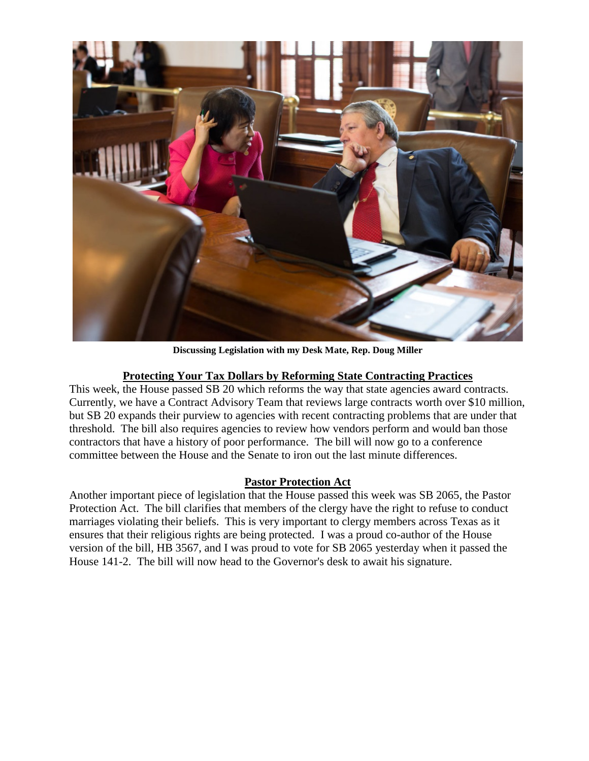

**Discussing Legislation with my Desk Mate, Rep. Doug Miller**

## **Protecting Your Tax Dollars by Reforming State Contracting Practices**

This week, the House passed SB 20 which reforms the way that state agencies award contracts. Currently, we have a Contract Advisory Team that reviews large contracts worth over \$10 million, but SB 20 expands their purview to agencies with recent contracting problems that are under that threshold. The bill also requires agencies to review how vendors perform and would ban those contractors that have a history of poor performance. The bill will now go to a conference committee between the House and the Senate to iron out the last minute differences.

## **Pastor Protection Act**

Another important piece of legislation that the House passed this week was SB 2065, the Pastor Protection Act. The bill clarifies that members of the clergy have the right to refuse to conduct marriages violating their beliefs. This is very important to clergy members across Texas as it ensures that their religious rights are being protected. I was a proud co-author of the House version of the bill, HB 3567, and I was proud to vote for SB 2065 yesterday when it passed the House 141-2. The bill will now head to the Governor's desk to await his signature.